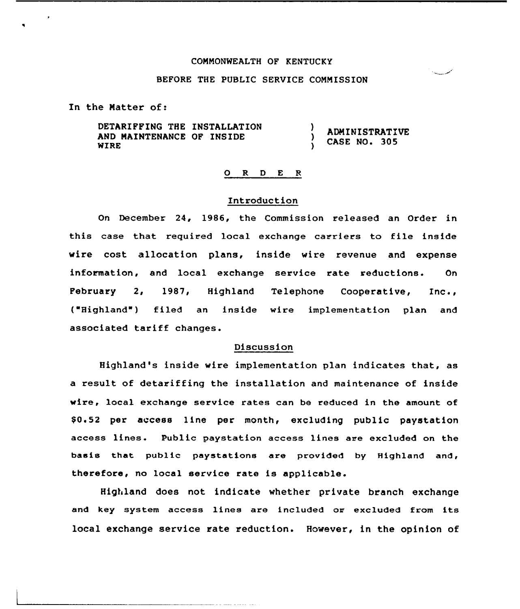### CONNONWEALTH OF KENTUCKY

### BEFORE THE PUBLIC SERVICE CONMISSION

In the Natter of:

DETARIFFING THE INSTALLATION AND NAINTENANCE OF INSIDE WIRE

ADMINISTRATIVE CASE NO. 305

# 0 R <sup>D</sup> E <sup>R</sup>

)

A.

# Introduction

On December 24, 1986, the Commission released an Order in this case that required local exchange carriers to file inside wire cost allocation plans, inside wire revenue and expense information, and local exchange service rate reductions. On February 2, 1987, Highland Telephone Cooperative, Inc., ( Highland ) filed an inside wire implementation plan and associated tariff changes.

## Discussion

Highland's inside wire implementation plan indicates that, as a result of detariffing the installation and maintenance of inside wire, local exchange service rates can be reduced in the amount of \$0.52 per access line per month, excluding public paystation access lines. Public paystation access lines are excluded on the basis that public paystations are provided by Highland and, therefore, no local service rate is applicable.

Highland does not indicate whether private branch exchange and key system access lines are included or excluded from its local exchange service rate reduction. However, in the opinion of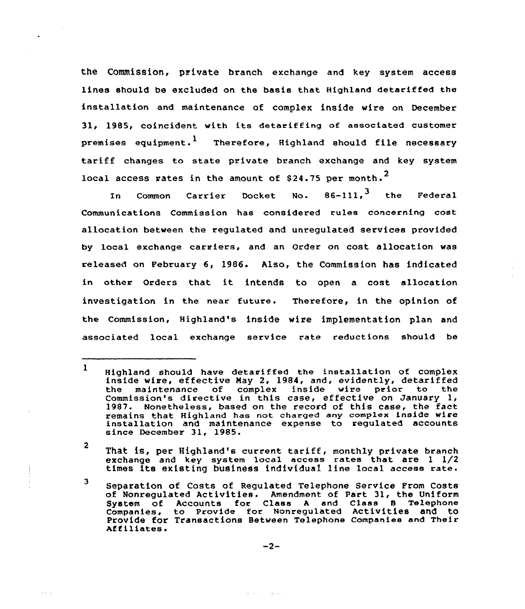the Commission, private branch exchange and key system access lines should be excluded on the basis that Highland detariffed the installation and maintenance of complex inside wire on December 31, 1985, coincident with its detariffing of associated customer premises equipment.<sup>1</sup> Therefore, Highland should file necessary tariff changes to state private branch exchange and key system local access rates in the amount of \$24.75 per month.<sup>2</sup>

In Common Carrier Docket No.  $86-111$ ,  $^3$  the Federa Communications Commission has considered rules concerning cost allocation between the regulated and unregulated services provided by local exchange carriers, and an Order on cost allocation was released on February 6, 1986. Also, the Commission has indicated in other Orders that it intends to open <sup>a</sup> cost allocation investigation in the near future. Therefore, in the opinion of the Commission, Highland's inside wire implementation plan and associated local exchange service rate reductions should be

2 That is, per Hfghland's current tariff, monthly private branch exchange and key system local access rates that are <sup>1</sup> 1/2 times its existing business individual line local access rate.

<sup>3</sup> Separation of Costs of Regulated Telephone Service From Costs of Nonregulated Activities. Amendment of Part 31, the Uniform System of Accounts for Class <sup>A</sup> and Class <sup>B</sup> Telephone Companies, to Provide for Nonregulated Activities and to Provide for Transactions Between Telephone Companies and Their<br>Affiliates.

$$
-2-
$$

الوارد والدار

<sup>1</sup> Highland should have detaviffed the installation of complex inside wive, effective May 2, 1984, and, evidently, detariffed the maintenance of complex inside wire prior to the Commission's directive in this case, effective on January 1, 1987. Nonetheless, based on the record of this case, the fact remains that Highland has not charged any complex inside wire installation and maintenance expense to regulated accounts since December 31, 1985.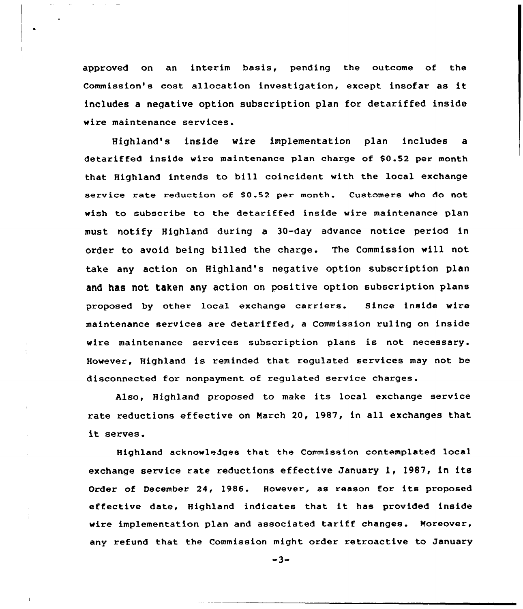approved on an interim basis, pending the outcome of the Commission's cost allocation investigation, except insofar as it includes a negative option subscription plan for detariffed inside wire maintenance services.

 $\bullet$ 

Highland's inside wire implementation plan includes a detariffed inside wire maintenance plan charge of \$0.52 per month that Highland intends to bill coincident with the local exchange service rate reduction of \$0.52 per month. Customers who do not wish to subscribe to the detariffed inside wire maintenance plan must notify Highland during a 30-day advance notice period in order to avoid being billed the charge. The Commission will not take any action on Highland's negative option subscription plan and has not taken any action on positive option subscription plans proposed by other local exchange carriers. Since inside wire maintenance services are detariffed, a Commission ruling on inside wire maintenance services subscription plans is not necessary. However, Highland is reminded that regulated services may not be disconnected for nonpayment of regulated service charges.

Also, Highland proposed to make its local exchange service rate reductions effective on March 20, 1987, in all exchanges that it serves.

Highland acknowledges that the Commission contemplated local exchange service rate reductions effective January 1, 1987, in its Order of December 24, 1986. However, as reason for its proposed effective date, Highland indicates that it has provided inside wire implementation plan and associated tariff changes. Moreover, any refund that the Commission might order retroactive to January

 $-3-$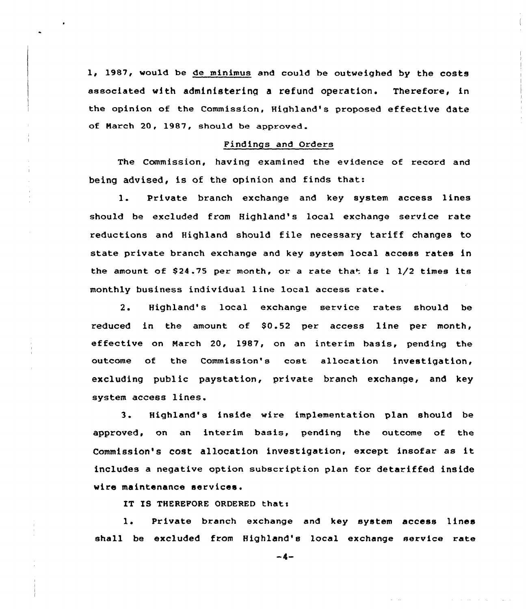1, 1987, would be de minimus and could be outweighed by the costs associated with administering a refund operation. Therefore, in the opinion of the Commission, Highland's proposed effective date of March 20, 1987, should be approved.

## Findings and Orders

The Commission, having examined the evidence of record and being advised, is of the opinion and finds that:

1. Private branch exchange and key system access lines should be excluded from Highland's local exchange service rate reductions and Highland should file necessary tariff changes to state private branch exchange and key system local access rates in the amount of \$24.75 per month, or a rate that is  $1 \frac{1}{2}$  times its monthly business individual line local access rate.

2. Highland's local exchange service rates should be reduced in the amount of  $$0.52$  per access line per month, effective on March 20, 1987, on an interim basis, pending the outcome of the Commission's cost allocation investigation, excluding public paystation, private branch exchange, and key system access lines.

3 <sup>~</sup> Highland's inside wire implementation plan should be approved, on an interim basis, pending the outcome of the Commission's cost allocation investigation, except insofar as it includes a negative option subscription plan for detariffed inside wire maintenance services.

IT IS THEREFORE ORDERED that:

1. Private branch exchange and key system access lines shall be excluded from Highland's )ocal exchange service rate

 $-4-$